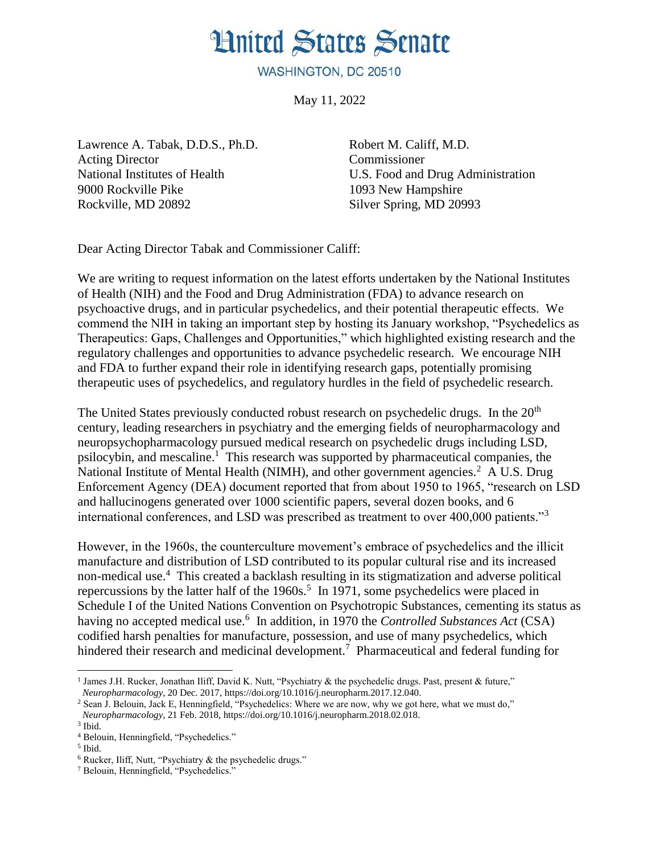## **Hnited States Senate**

WASHINGTON, DC 20510

May 11, 2022

Lawrence A. Tabak, D.D.S., Ph.D. Acting Director National Institutes of Health 9000 Rockville Pike Rockville, MD 20892

Robert M. Califf, M.D. Commissioner U.S. Food and Drug Administration 1093 New Hampshire Silver Spring, MD 20993

Dear Acting Director Tabak and Commissioner Califf:

We are writing to request information on the latest efforts undertaken by the National Institutes of Health (NIH) and the Food and Drug Administration (FDA) to advance research on psychoactive drugs, and in particular psychedelics, and their potential therapeutic effects. We commend the NIH in taking an important step by hosting its January workshop, "Psychedelics as Therapeutics: Gaps, Challenges and Opportunities," which highlighted existing research and the regulatory challenges and opportunities to advance psychedelic research. We encourage NIH and FDA to further expand their role in identifying research gaps, potentially promising therapeutic uses of psychedelics, and regulatory hurdles in the field of psychedelic research.

The United States previously conducted robust research on psychedelic drugs. In the  $20<sup>th</sup>$ century, leading researchers in psychiatry and the emerging fields of neuropharmacology and neuropsychopharmacology pursued medical research on psychedelic drugs including LSD, psilocybin, and mescaline.<sup>1</sup> This research was supported by pharmaceutical companies, the National Institute of Mental Health (NIMH), and other government agencies.<sup>2</sup> A U.S. Drug Enforcement Agency (DEA) document reported that from about 1950 to 1965, "research on LSD and hallucinogens generated over 1000 scientific papers, several dozen books, and 6 international conferences, and LSD was prescribed as treatment to over 400,000 patients."<sup>3</sup>

However, in the 1960s, the counterculture movement's embrace of psychedelics and the illicit manufacture and distribution of LSD contributed to its popular cultural rise and its increased non-medical use.<sup>4</sup> This created a backlash resulting in its stigmatization and adverse political repercussions by the latter half of the  $1960s$ <sup>5</sup>. In 1971, some psychedelics were placed in Schedule I of the United Nations Convention on Psychotropic Substances, cementing its status as having no accepted medical use.<sup>6</sup> In addition, in 1970 the *Controlled Substances Act* (CSA) codified harsh penalties for manufacture, possession, and use of many psychedelics, which hindered their research and medicinal development.<sup>7</sup> Pharmaceutical and federal funding for

 $\overline{a}$ 

<sup>&</sup>lt;sup>1</sup> James J.H. Rucker, Jonathan Iliff, David K. Nutt, "Psychiatry & the psychedelic drugs. Past, present & future," *Neuropharmacology*, 20 Dec. 2017, https://doi.org/10.1016/j.neuropharm.2017.12.040.

<sup>&</sup>lt;sup>2</sup> Sean J. Belouin, Jack E, Henningfield, "Psychedelics: Where we are now, why we got here, what we must do," *Neuropharmacology*, 21 Feb. 2018, https://doi.org/10.1016/j.neuropharm.2018.02.018.

<sup>3</sup> Ibid.

<sup>4</sup> Belouin, Henningfield, "Psychedelics."

<sup>5</sup> Ibid.

<sup>6</sup> Rucker, Iliff, Nutt, "Psychiatry & the psychedelic drugs."

<sup>7</sup> Belouin, Henningfield, "Psychedelics."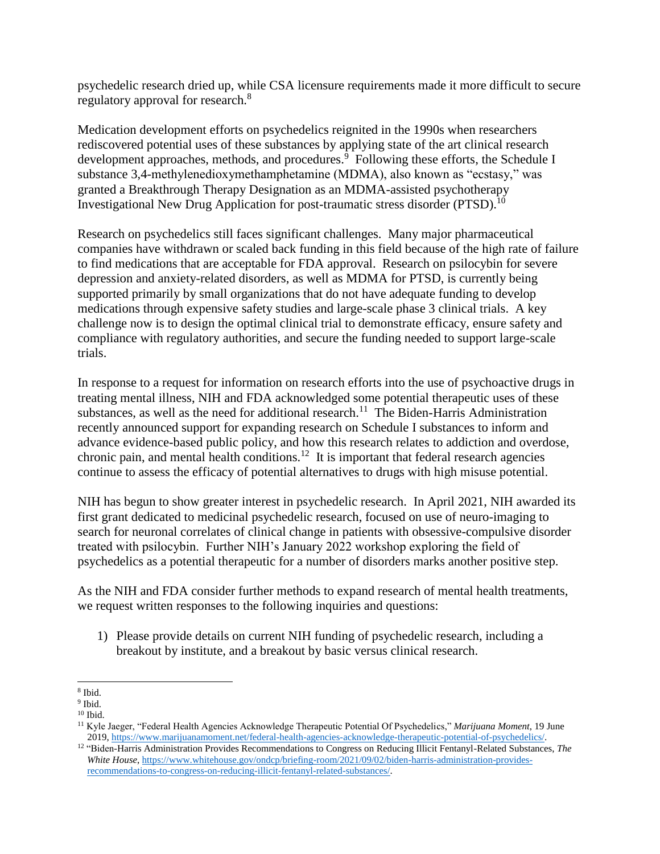psychedelic research dried up, while CSA licensure requirements made it more difficult to secure regulatory approval for research.<sup>8</sup>

Medication development efforts on psychedelics reignited in the 1990s when researchers rediscovered potential uses of these substances by applying state of the art clinical research development approaches, methods, and procedures.<sup>9</sup> Following these efforts, the Schedule I substance 3,4-methylenedioxymethamphetamine (MDMA), also known as "ecstasy," was granted a Breakthrough Therapy Designation as an MDMA-assisted psychotherapy Investigational New Drug Application for post-traumatic stress disorder (PTSD).<sup>10</sup>

Research on psychedelics still faces significant challenges. Many major pharmaceutical companies have withdrawn or scaled back funding in this field because of the high rate of failure to find medications that are acceptable for FDA approval. Research on psilocybin for severe depression and anxiety-related disorders, as well as MDMA for PTSD, is currently being supported primarily by small organizations that do not have adequate funding to develop medications through expensive safety studies and large-scale phase 3 clinical trials. A key challenge now is to design the optimal clinical trial to demonstrate efficacy, ensure safety and compliance with regulatory authorities, and secure the funding needed to support large-scale trials.

In response to a request for information on research efforts into the use of psychoactive drugs in treating mental illness, NIH and FDA acknowledged some potential therapeutic uses of these substances, as well as the need for additional research.<sup>11</sup> The Biden-Harris Administration recently announced support for expanding research on Schedule I substances to inform and advance evidence-based public policy, and how this research relates to addiction and overdose, chronic pain, and mental health conditions.<sup>12</sup> It is important that federal research agencies continue to assess the efficacy of potential alternatives to drugs with high misuse potential.

NIH has begun to show greater interest in psychedelic research. In April 2021, NIH awarded its first grant dedicated to medicinal psychedelic research, focused on use of neuro-imaging to search for neuronal correlates of clinical change in patients with obsessive-compulsive disorder treated with psilocybin. Further NIH's January 2022 workshop exploring the field of psychedelics as a potential therapeutic for a number of disorders marks another positive step.

As the NIH and FDA consider further methods to expand research of mental health treatments, we request written responses to the following inquiries and questions:

1) Please provide details on current NIH funding of psychedelic research, including a breakout by institute, and a breakout by basic versus clinical research.

 $\overline{a}$ 8 Ibid.

<sup>&</sup>lt;sup>9</sup> Ibid.

<sup>10</sup> Ibid.

<sup>11</sup> Kyle Jaeger, "Federal Health Agencies Acknowledge Therapeutic Potential Of Psychedelics," *Marijuana Moment*, 19 June 2019[, https://www.marijuanamoment.net/federal-health-agencies-acknowledge-therapeutic-potential-of-psychedelics/.](https://www.marijuanamoment.net/federal-health-agencies-acknowledge-therapeutic-potential-of-psychedelics/) 

<sup>12</sup> "Biden-Harris Administration Provides Recommendations to Congress on Reducing Illicit Fentanyl-Related Substances, *The White House*[, https://www.whitehouse.gov/ondcp/briefing-room/2021/09/02/biden-harris-administration-provides](https://www.whitehouse.gov/ondcp/briefing-room/2021/09/02/biden-harris-administration-provides-recommendations-to-congress-on-reducing-illicit-fentanyl-related-substances/)[recommendations-to-congress-on-reducing-illicit-fentanyl-related-substances/.](https://www.whitehouse.gov/ondcp/briefing-room/2021/09/02/biden-harris-administration-provides-recommendations-to-congress-on-reducing-illicit-fentanyl-related-substances/)